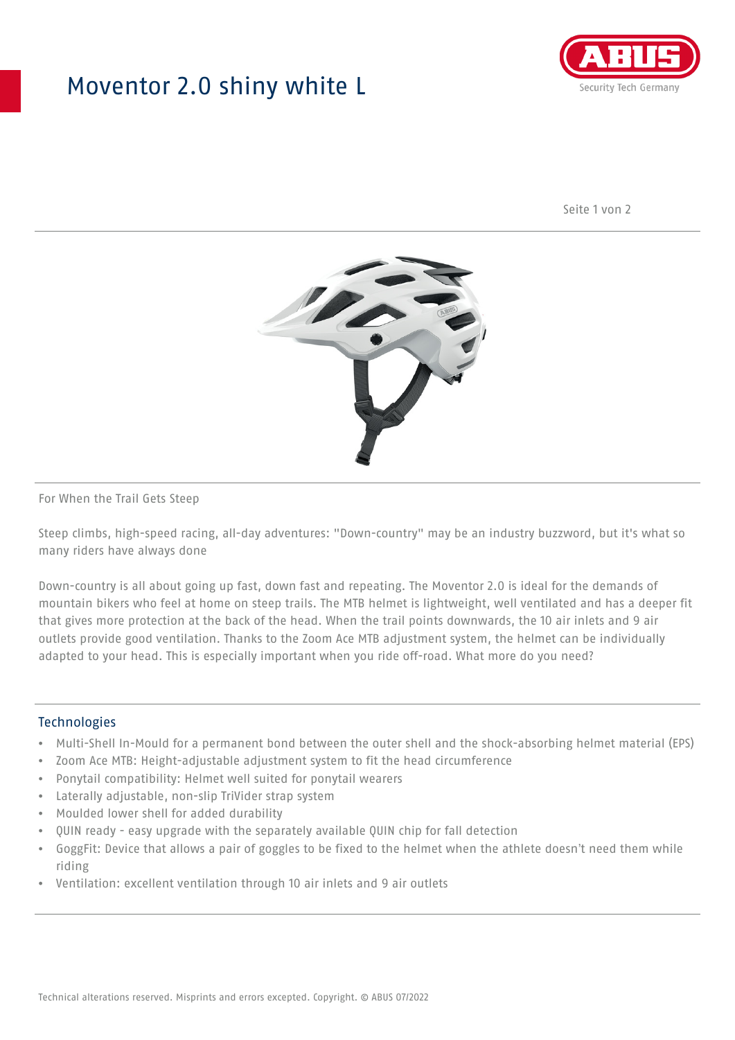## Moventor 2.0 shiny white L



Seite 1 von 2



#### For When the Trail Gets Steep

Steep climbs, high-speed racing, all-day adventures: "Down-country" may be an industry buzzword, but it's what so many riders have always done

Down-country is all about going up fast, down fast and repeating. The Moventor 2.0 is ideal for the demands of mountain bikers who feel at home on steep trails. The MTB helmet is lightweight, well ventilated and has a deeper fit that gives more protection at the back of the head. When the trail points downwards, the 10 air inlets and 9 air outlets provide good ventilation. Thanks to the Zoom Ace MTB adjustment system, the helmet can be individually adapted to your head. This is especially important when you ride off-road. What more do you need?

#### **Technologies**

- Multi-Shell In-Mould for a permanent bond between the outer shell and the shock-absorbing helmet material (EPS)
- Zoom Ace MTB: Height-adjustable adjustment system to fit the head circumference
- Ponytail compatibility: Helmet well suited for ponytail wearers
- Laterally adjustable, non-slip TriVider strap system
- Moulded lower shell for added durability
- QUIN ready easy upgrade with the separately available QUIN chip for fall detection
- GoggFit: Device that allows a pair of goggles to be fixed to the helmet when the athlete doesn't need them while riding
- Ventilation: excellent ventilation through 10 air inlets and 9 air outlets